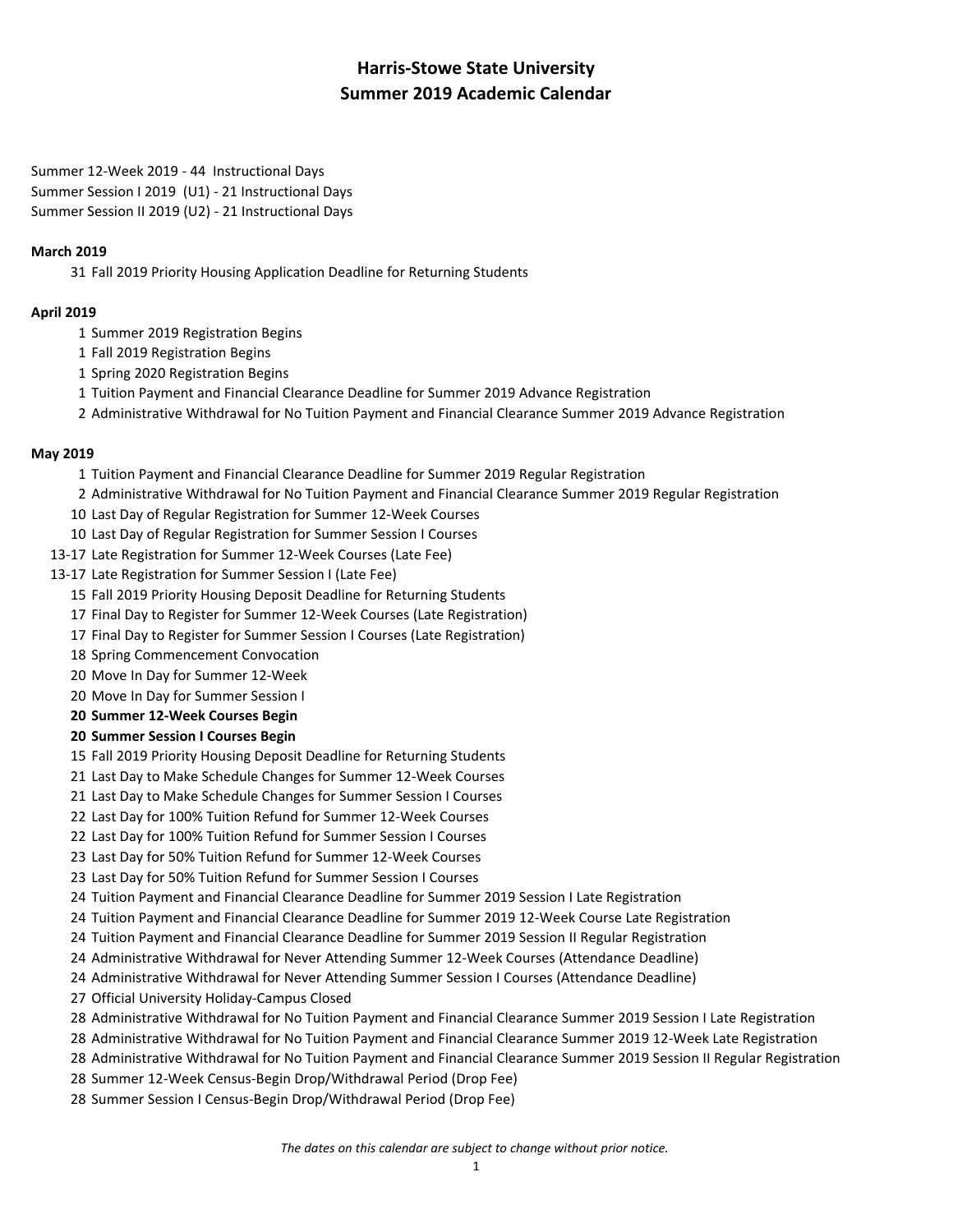# **Harris-Stowe State University Summer 2019 Academic Calendar**

Summer 12-Week 2019 - 44 Instructional Days Summer Session I 2019 (U1) - 21 Instructional Days Summer Session II 2019 (U2) - 21 Instructional Days

## **March 2019**

Fall 2019 Priority Housing Application Deadline for Returning Students

## **April 2019**

- Summer 2019 Registration Begins
- Fall 2019 Registration Begins
- Spring 2020 Registration Begins
- Tuition Payment and Financial Clearance Deadline for Summer 2019 Advance Registration
- Administrative Withdrawal for No Tuition Payment and Financial Clearance Summer 2019 Advance Registration

### **May 2019**

- Tuition Payment and Financial Clearance Deadline for Summer 2019 Regular Registration
- Administrative Withdrawal for No Tuition Payment and Financial Clearance Summer 2019 Regular Registration
- Last Day of Regular Registration for Summer 12-Week Courses
- Last Day of Regular Registration for Summer Session I Courses
- 13-17 Late Registration for Summer 12-Week Courses (Late Fee)
- 13-17 Late Registration for Summer Session I (Late Fee)
	- Fall 2019 Priority Housing Deposit Deadline for Returning Students
	- Final Day to Register for Summer 12-Week Courses (Late Registration)
	- Final Day to Register for Summer Session I Courses (Late Registration)
	- Spring Commencement Convocation
	- Move In Day for Summer 12-Week
	- Move In Day for Summer Session I
	- **Summer 12-Week Courses Begin**

## **Summer Session I Courses Begin**

- Fall 2019 Priority Housing Deposit Deadline for Returning Students
- Last Day to Make Schedule Changes for Summer 12-Week Courses
- Last Day to Make Schedule Changes for Summer Session I Courses
- Last Day for 100% Tuition Refund for Summer 12-Week Courses
- Last Day for 100% Tuition Refund for Summer Session I Courses
- Last Day for 50% Tuition Refund for Summer 12-Week Courses
- Last Day for 50% Tuition Refund for Summer Session I Courses
- Tuition Payment and Financial Clearance Deadline for Summer 2019 Session I Late Registration
- Tuition Payment and Financial Clearance Deadline for Summer 2019 12-Week Course Late Registration
- Tuition Payment and Financial Clearance Deadline for Summer 2019 Session II Regular Registration
- Administrative Withdrawal for Never Attending Summer 12-Week Courses (Attendance Deadline)
- Administrative Withdrawal for Never Attending Summer Session I Courses (Attendance Deadline)
- Official University Holiday-Campus Closed
- Administrative Withdrawal for No Tuition Payment and Financial Clearance Summer 2019 Session I Late Registration
- Administrative Withdrawal for No Tuition Payment and Financial Clearance Summer 2019 12-Week Late Registration
- Administrative Withdrawal for No Tuition Payment and Financial Clearance Summer 2019 Session II Regular Registration
- Summer 12-Week Census-Begin Drop/Withdrawal Period (Drop Fee)
- Summer Session I Census-Begin Drop/Withdrawal Period (Drop Fee)